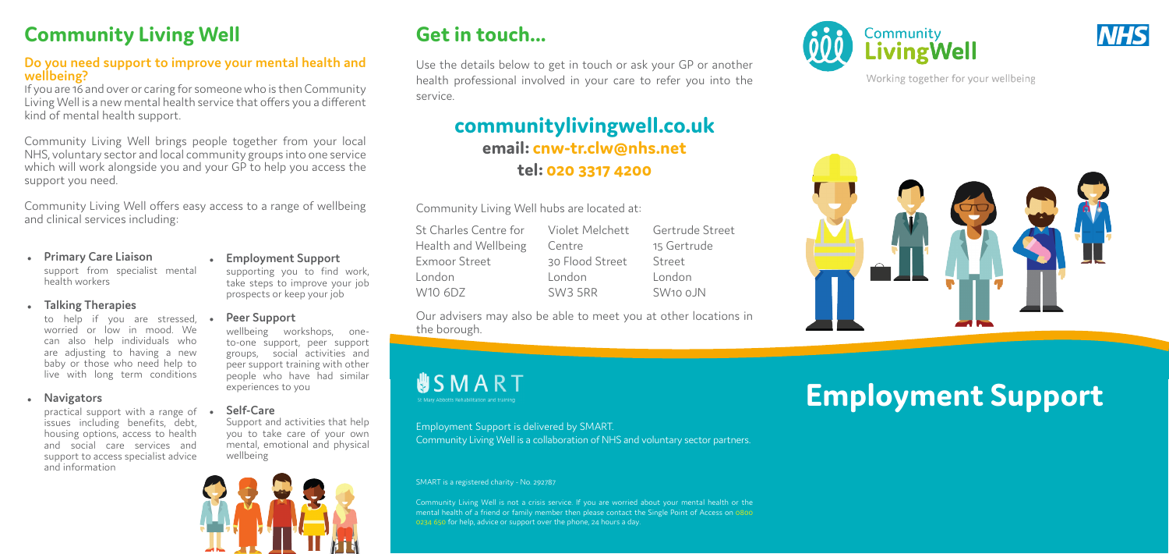## **Get in touch...**

Use the details below to get in touch or ask your GP or another health professional involved in your care to refer you into the service.

## **communitylivingwell.co.uk email: cnw-tr.clw@nhs.net tel: 020 3317 4200**

Community Living Well hubs are located at:

Community Living Well is not a crisis service. If you are worried about your mental health or the mental health of a friend or family member then please contact the Single Point of Access on 0800 0234 650 for help, advice or support over the phone, 24 hours a day.







Working together for your wellbeing



# **Employment Support**

Our advisers may also be able to meet you at other locations in the borough.



### Employment Support is delivered by SMART. Community Living Well is a collaboration of NHS and voluntary sector partners.

### SMART is a registered charity - No. 292787

Community Living Well offers easy access to a range of wellbeing and clinical services including:

## **Community Living Well**

### **Do you need support to improve your mental health and wellbeing?**

practical support with a range of • issues including benefits, debt, housing options, access to health and social care services and support to access specialist advice and information

If you are 16 and over or caring for someone who is then Community Living Well is a new mental health service that offers you a different kind of mental health support.

| St Charles Centre for | Violet Melchett | Gertrude Street      |
|-----------------------|-----------------|----------------------|
| Health and Wellbeing  | Centre          | 15 Gertrude          |
| Exmoor Street         | 30 Flood Street | Street               |
| London                | London          | London               |
| W10 6DZ               | SW3 5RR         | SW <sub>10</sub> oJN |

Community Living Well brings people together from your local NHS, voluntary sector and local community groups into one service which will work alongside you and your GP to help you access the support you need.

### <sup>z</sup> **Primary Care Liaison** support from specialist mental health workers

### <sup>z</sup> **Talking Therapies**

to help if you are stressed, worried or low in mood. We can also help individuals who are adjusting to having a new baby or those who need help to live with long term conditions

### **Navigators**

## <sup>z</sup> **Employment Support**

**Peer Support** 

supporting you to find work, take steps to improve your job prospects or keep your job

wellbeing workshops, one-

## to-one support, peer support

groups, social activities and peer support training with other people who have had similar experiences to you

### <sup>z</sup> **Self-Care**

Support and activities that help you to take care of your own mental, emotional and physical wellbeing